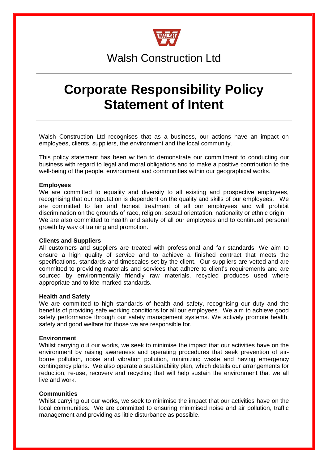

# Walsh Construction Ltd

# **Corporate Responsibility Policy Statement of Intent**

Walsh Construction Ltd recognises that as a business, our actions have an impact on employees, clients, suppliers, the environment and the local community.

This policy statement has been written to demonstrate our commitment to conducting our business with regard to legal and moral obligations and to make a positive contribution to the well-being of the people, environment and communities within our geographical works.

# **Employees**

We are committed to equality and diversity to all existing and prospective employees, recognising that our reputation is dependent on the quality and skills of our employees. We are committed to fair and honest treatment of all our employees and will prohibit discrimination on the grounds of race, religion, sexual orientation, nationality or ethnic origin. We are also committed to health and safety of all our employees and to continued personal growth by way of training and promotion.

# **Clients and Suppliers**

All customers and suppliers are treated with professional and fair standards. We aim to ensure a high quality of service and to achieve a finished contract that meets the specifications, standards and timescales set by the client. Our suppliers are vetted and are committed to providing materials and services that adhere to client's requirements and are sourced by environmentally friendly raw materials, recycled produces used where appropriate and to kite-marked standards.

#### **Health and Safety**

We are committed to high standards of health and safety, recognising our duty and the benefits of providing safe working conditions for all our employees. We aim to achieve good safety performance through our safety management systems. We actively promote health, safety and good welfare for those we are responsible for.

# **Environment**

Whilst carrying out our works, we seek to minimise the impact that our activities have on the environment by raising awareness and operating procedures that seek prevention of airborne pollution, noise and vibration pollution, minimizing waste and having emergency contingency plans. We also operate a sustainability plan, which details our arrangements for reduction, re-use, recovery and recycling that will help sustain the environment that we all live and work.

# **Communities**

Whilst carrying out our works, we seek to minimise the impact that our activities have on the local communities. We are committed to ensuring minimised noise and air pollution, traffic management and providing as little disturbance as possible.